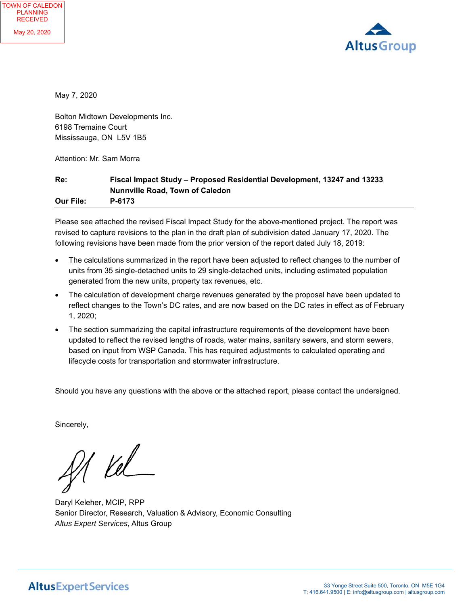

May 7, 2020

Bolton Midtown Developments Inc. 6198 Tremaine Court Mississauga, ON L5V 1B5

Attention: Mr. Sam Morra

### **Re: Fiscal Impact Study – Proposed Residential Development, 13247 and 13233 Nunnville Road, Town of Caledon Our File: P-6173**

Please see attached the revised Fiscal Impact Study for the above-mentioned project. The report was revised to capture revisions to the plan in the draft plan of subdivision dated January 17, 2020. The following revisions have been made from the prior version of the report dated July 18, 2019:

- The calculations summarized in the report have been adjusted to reflect changes to the number of units from 35 single-detached units to 29 single-detached units, including estimated population generated from the new units, property tax revenues, etc.
- The calculation of development charge revenues generated by the proposal have been updated to reflect changes to the Town's DC rates, and are now based on the DC rates in effect as of February 1, 2020;
- The section summarizing the capital infrastructure requirements of the development have been updated to reflect the revised lengths of roads, water mains, sanitary sewers, and storm sewers, based on input from WSP Canada. This has required adjustments to calculated operating and lifecycle costs for transportation and stormwater infrastructure.

Should you have any questions with the above or the attached report, please contact the undersigned.

Sincerely,

f1 Kel

Daryl Keleher, MCIP, RPP Senior Director, Research, Valuation & Advisory, Economic Consulting *Altus Expert Services*, Altus Group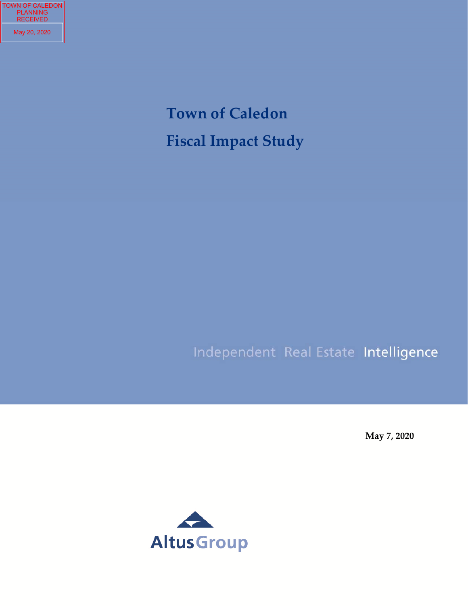TOWN OF CALEDON PLANNING RECEIVED May 20, 2020

# **Town of Caledon Fiscal Impact Study**

## Independent Real Estate Intelligence

**May 7, 2020**

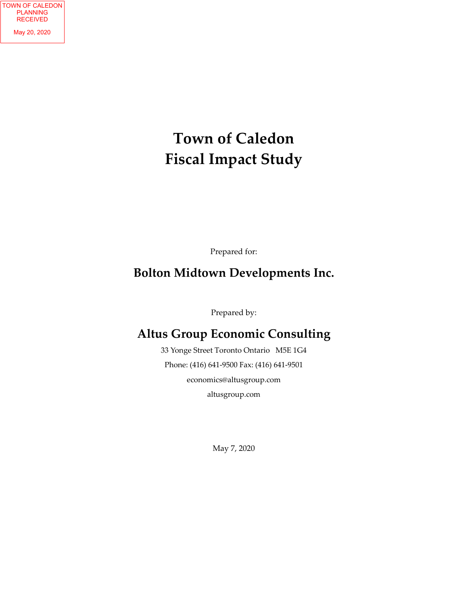## **Town of Caledon Fiscal Impact Study**

Prepared for:

## **Bolton Midtown Developments Inc.**

Prepared by:

## **Altus Group Economic Consulting**

33 Yonge Street Toronto Ontario M5E 1G4 Phone: (416) 641‐9500 Fax: (416) 641‐9501 economics@altusgroup.com altusgroup.com

May 7, 2020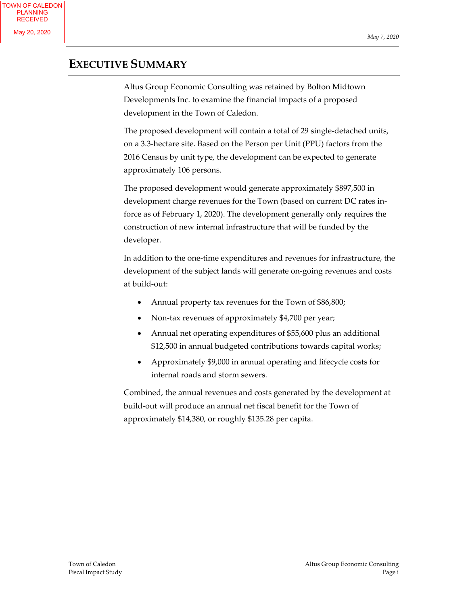### **EXECUTIVE SUMMARY**

Altus Group Economic Consulting was retained by Bolton Midtown Developments Inc. to examine the financial impacts of a proposed development in the Town of Caledon.

The proposed development will contain a total of 29 single-detached units, on a 3.3‐hectare site. Based on the Person per Unit (PPU) factors from the 2016 Census by unit type, the development can be expected to generate approximately 106 persons.

The proposed development would generate approximately \$897,500 in development charge revenues for the Town (based on current DC rates in‐ force as of February 1, 2020). The development generally only requires the construction of new internal infrastructure that will be funded by the developer.

In addition to the one‐time expenditures and revenues for infrastructure, the development of the subject lands will generate on‐going revenues and costs at build‐out:

- Annual property tax revenues for the Town of \$86,800;
- Non-tax revenues of approximately \$4,700 per year;
- Annual net operating expenditures of \$55,600 plus an additional \$12,500 in annual budgeted contributions towards capital works;
- Approximately \$9,000 in annual operating and lifecycle costs for internal roads and storm sewers.

Combined, the annual revenues and costs generated by the development at build‐out will produce an annual net fiscal benefit for the Town of approximately \$14,380, or roughly \$135.28 per capita.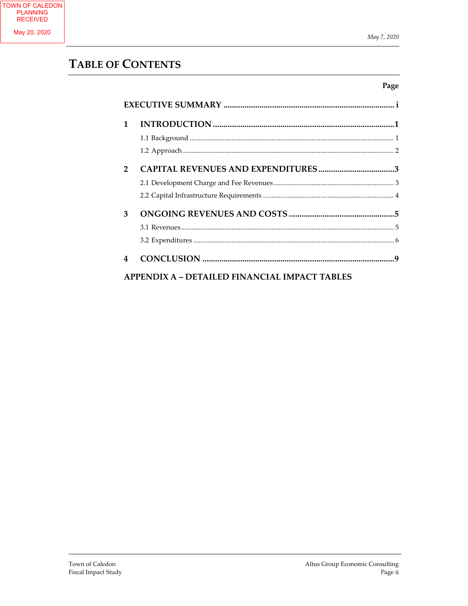### **TABLE OF CONTENTS**

| 1             |                                               |
|---------------|-----------------------------------------------|
|               |                                               |
|               |                                               |
| $\mathcal{P}$ | <b>CAPITAL REVENUES AND EXPENDITURES3</b>     |
|               |                                               |
|               |                                               |
| 3             |                                               |
|               |                                               |
|               |                                               |
| 4             |                                               |
|               | APPENDIX A – DETAILED FINANCIAL IMPACT TABLES |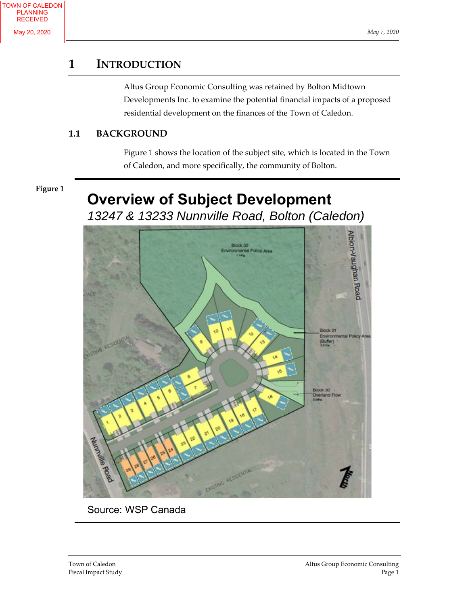### **1 INTRODUCTION**

Altus Group Economic Consulting was retained by Bolton Midtown Developments Inc. to examine the potential financial impacts of a proposed residential development on the finances of the Town of Caledon.

### **1.1 BACKGROUND**

Figure 1 shows the location of the subject site, which is located in the Town of Caledon, and more specifically, the community of Bolton.

### **Figure 1**

## **Overview of Subject Development**

*13247 & 13233 Nunnville Road, Bolton (Caledon)*



Source: WSP Canada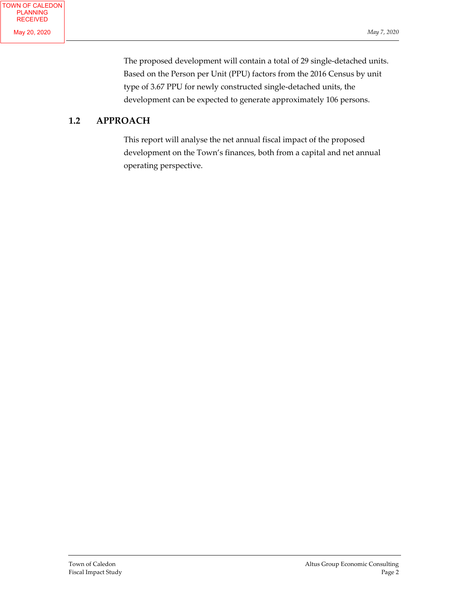The proposed development will contain a total of 29 single-detached units. Based on the Person per Unit (PPU) factors from the 2016 Census by unit type of 3.67 PPU for newly constructed single‐detached units, the development can be expected to generate approximately 106 persons.

### **1.2 APPROACH**

This report will analyse the net annual fiscal impact of the proposed development on the Town's finances, both from a capital and net annual operating perspective.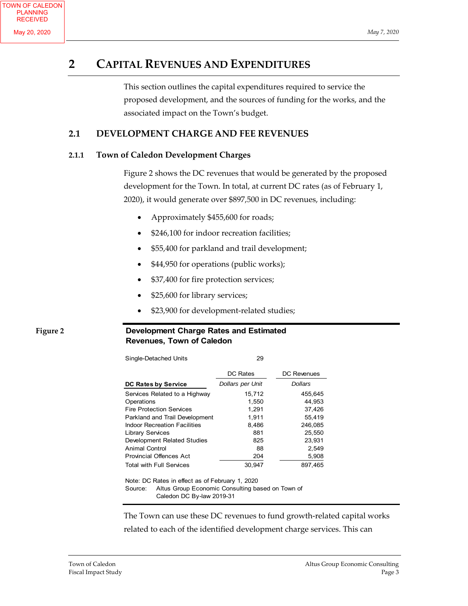### **2 CAPITAL REVENUES AND EXPENDITURES**

This section outlines the capital expenditures required to service the proposed development, and the sources of funding for the works, and the associated impact on the Town's budget.

### **2.1 DEVELOPMENT CHARGE AND FEE REVENUES**

### **2.1.1 Town of Caledon Development Charges**

Figure 2 shows the DC revenues that would be generated by the proposed development for the Town. In total, at current DC rates (as of February 1, 2020), it would generate over \$897,500 in DC revenues, including:

- Approximately \$455,600 for roads;
- \$246,100 for indoor recreation facilities;
- \$55,400 for parkland and trail development;
- \$44,950 for operations (public works);
- \$37,400 for fire protection services;
- \$25,600 for library services;
- \$23,900 for development‐related studies;

### **Figure 2**

### **Development Charge Rates and Estimated Revenues, Town of Caledon**

| Single-Detached Units                           | 29               |             |
|-------------------------------------------------|------------------|-------------|
|                                                 | <b>DC Rates</b>  | DC Revenues |
| DC Rates by Service                             | Dollars per Unit | Dollars     |
| Services Related to a Highway                   | 15,712           | 455,645     |
| Operations                                      | 1,550            | 44.953      |
| <b>Fire Protection Services</b>                 | 1.291            | 37.426      |
| Parkland and Trail Development                  | 1,911            | 55,419      |
| <b>Indoor Recreation Facilities</b>             | 8,486            | 246,085     |
| <b>Library Services</b>                         | 881              | 25,550      |
| Development Related Studies                     | 825              | 23,931      |
| Animal Control                                  | 88               | 2,549       |
| <b>Provincial Offences Act</b>                  | 204              | 5,908       |
| <b>Total with Full Services</b>                 | 30,947           | 897,465     |
| Note: DC Rates in effect as of February 1, 2020 |                  |             |

Note: DC Rates in effect as of February 1, 2020 Source: Altus Group Economic Consulting based on Town of Caledon DC By-law 2019-31

The Town can use these DC revenues to fund growth‐related capital works related to each of the identified development charge services. This can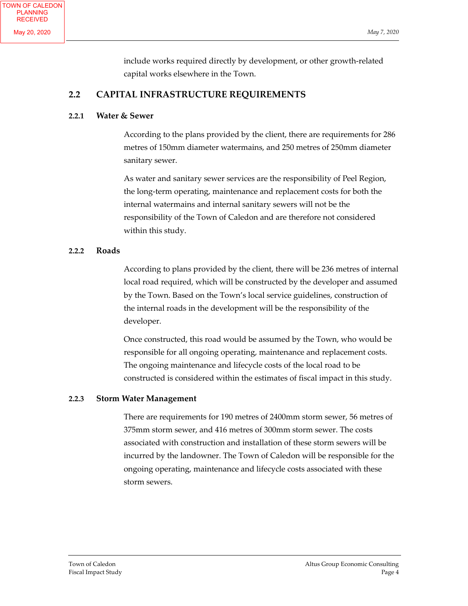include works required directly by development, or other growth‐related capital works elsewhere in the Town.

### **2.2 CAPITAL INFRASTRUCTURE REQUIREMENTS**

### **2.2.1 Water & Sewer**

According to the plans provided by the client, there are requirements for 286 metres of 150mm diameter watermains, and 250 metres of 250mm diameter sanitary sewer.

As water and sanitary sewer services are the responsibility of Peel Region, the long‐term operating, maintenance and replacement costs for both the internal watermains and internal sanitary sewers will not be the responsibility of the Town of Caledon and are therefore not considered within this study.

### **2.2.2 Roads**

According to plans provided by the client, there will be 236 metres of internal local road required, which will be constructed by the developer and assumed by the Town. Based on the Town's local service guidelines, construction of the internal roads in the development will be the responsibility of the developer.

Once constructed, this road would be assumed by the Town, who would be responsible for all ongoing operating, maintenance and replacement costs. The ongoing maintenance and lifecycle costs of the local road to be constructed is considered within the estimates of fiscal impact in this study.

### **2.2.3 Storm Water Management**

There are requirements for 190 metres of 2400mm storm sewer, 56 metres of 375mm storm sewer, and 416 metres of 300mm storm sewer. The costs associated with construction and installation of these storm sewers will be incurred by the landowner. The Town of Caledon will be responsible for the ongoing operating, maintenance and lifecycle costs associated with these storm sewers.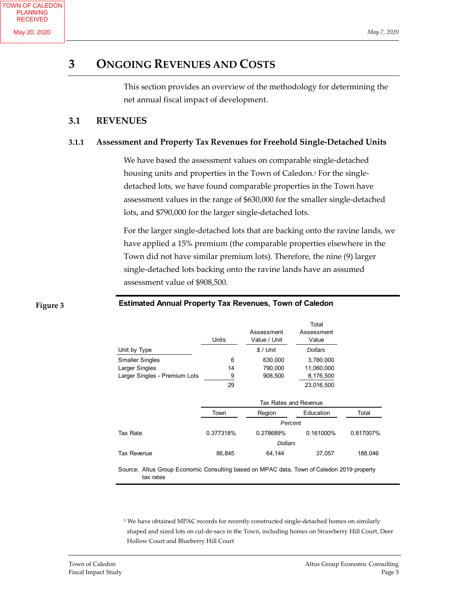### **3 ONGOING REVENUES AND COSTS**

This section provides an overview of the methodology for determining the net annual fiscal impact of development.

### **3.1 REVENUES**

### **3.1.1 Assessment and Property Tax Revenues for Freehold Single‐Detached Units**

We have based the assessment values on comparable single‐detached housing units and properties in the Town of Caledon.<sup>1</sup> For the singledetached lots, we have found comparable properties in the Town have assessment values in the range of \$630,000 for the smaller single‐detached lots, and \$790,000 for the larger single‐detached lots.

For the larger single‐detached lots that are backing onto the ravine lands, we have applied a 15% premium (the comparable properties elsewhere in the Town did not have similar premium lots). Therefore, the nine (9) larger single-detached lots backing onto the ravine lands have an assumed assessment value of \$908,500.

#### **Figure 3**

### **Estimated Annual Property Tax Revenues, Town of Caledon**

|                               |           |                            | Total               |           |
|-------------------------------|-----------|----------------------------|---------------------|-----------|
|                               | Units     | Assessment<br>Value / Unit | Assessment<br>Value |           |
| Unit by Type                  |           | $$/$ Unit                  | <b>Dollars</b>      |           |
| <b>Smaller Singles</b>        | 6         | 630,000                    | 3,780,000           |           |
| Larger Singles                | 14        | 790,000                    | 11,060,000          |           |
| Larger Singles - Premium Lots | 9         | 908,500                    | 8,176,500           |           |
|                               | 29        |                            | 23,016,500          |           |
|                               |           | Tax Rates and Revenue      |                     |           |
|                               | Town      | Region                     | Education           | Total     |
|                               |           | Percent                    |                     |           |
| Tax Rate                      | 0.377318% | 0.278689%                  | 0.161000%           | 0.817007% |
|                               |           | <b>Dollars</b>             |                     |           |
| Tax Revenue                   | 86,845    | 64,144                     | 37,057              | 188,046   |

Source: Altus Group Economic Consulting based on MPAC data, Town of Caledon 2019 property tax rates

<sup>1</sup> We have obtained MPAC records for recently constructed single-detached homes on similarly shaped and sized lots on cul-de-sacs in the Town, including homes on Strawberry Hill Court, Deer Hollow Court and Blueberry Hill Court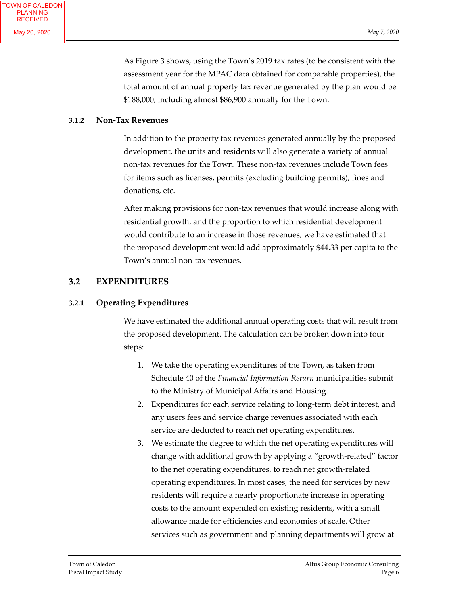As Figure 3 shows, using the Town's 2019 tax rates (to be consistent with the assessment year for the MPAC data obtained for comparable properties), the total amount of annual property tax revenue generated by the plan would be \$188,000, including almost \$86,900 annually for the Town.

#### **3.1.2 Non‐Tax Revenues**

In addition to the property tax revenues generated annually by the proposed development, the units and residents will also generate a variety of annual non‐tax revenues for the Town. These non‐tax revenues include Town fees for items such as licenses, permits (excluding building permits), fines and donations, etc.

After making provisions for non-tax revenues that would increase along with residential growth, and the proportion to which residential development would contribute to an increase in those revenues, we have estimated that the proposed development would add approximately \$44.33 per capita to the Town's annual non‐tax revenues.

### **3.2 EXPENDITURES**

### **3.2.1 Operating Expenditures**

We have estimated the additional annual operating costs that will result from the proposed development. The calculation can be broken down into four steps:

- 1. We take the operating expenditures of the Town, as taken from Schedule 40 of the *Financial Information Return* municipalities submit to the Ministry of Municipal Affairs and Housing.
- 2. Expenditures for each service relating to long-term debt interest, and any users fees and service charge revenues associated with each service are deducted to reach net operating expenditures.
- 3. We estimate the degree to which the net operating expenditures will change with additional growth by applying a "growth‐related" factor to the net operating expenditures, to reach net growth-related operating expenditures. In most cases, the need for services by new residents will require a nearly proportionate increase in operating costs to the amount expended on existing residents, with a small allowance made for efficiencies and economies of scale. Other services such as government and planning departments will grow at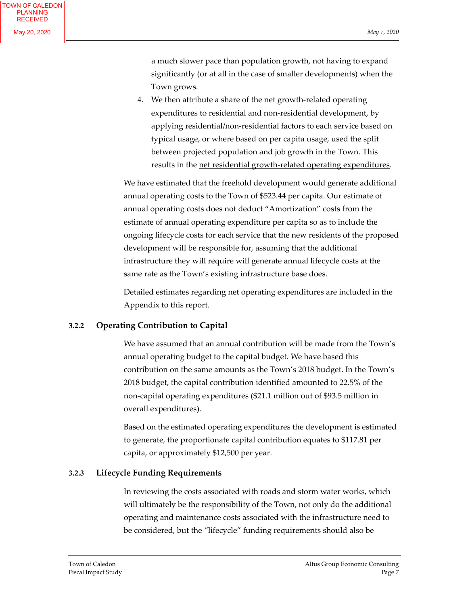a much slower pace than population growth, not having to expand significantly (or at all in the case of smaller developments) when the Town grows.

4. We then attribute a share of the net growth‐related operating expenditures to residential and non-residential development, by applying residential/non‐residential factors to each service based on typical usage, or where based on per capita usage, used the split between projected population and job growth in the Town. This results in the net residential growth-related operating expenditures.

We have estimated that the freehold development would generate additional annual operating costs to the Town of \$523.44 per capita. Our estimate of annual operating costs does not deduct "Amortization" costs from the estimate of annual operating expenditure per capita so as to include the ongoing lifecycle costs for each service that the new residents of the proposed development will be responsible for, assuming that the additional infrastructure they will require will generate annual lifecycle costs at the same rate as the Town's existing infrastructure base does.

Detailed estimates regarding net operating expenditures are included in the Appendix to this report.

### **3.2.2 Operating Contribution to Capital**

We have assumed that an annual contribution will be made from the Town's annual operating budget to the capital budget. We have based this contribution on the same amounts as the Town's 2018 budget. In the Town's 2018 budget, the capital contribution identified amounted to 22.5% of the non‐capital operating expenditures (\$21.1 million out of \$93.5 million in overall expenditures).

Based on the estimated operating expenditures the development is estimated to generate, the proportionate capital contribution equates to \$117.81 per capita, or approximately \$12,500 per year.

### **3.2.3 Lifecycle Funding Requirements**

In reviewing the costs associated with roads and storm water works, which will ultimately be the responsibility of the Town, not only do the additional operating and maintenance costs associated with the infrastructure need to be considered, but the "lifecycle" funding requirements should also be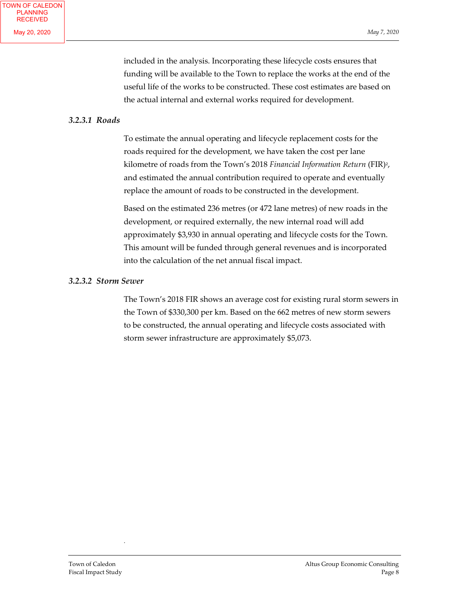included in the analysis. Incorporating these lifecycle costs ensures that funding will be available to the Town to replace the works at the end of the useful life of the works to be constructed. These cost estimates are based on the actual internal and external works required for development.

#### *3.2.3.1 Roads*

To estimate the annual operating and lifecycle replacement costs for the roads required for the development, we have taken the cost per lane kilometre of roads from the Town's 2018 *Financial Information Return* (FIR)2, and estimated the annual contribution required to operate and eventually replace the amount of roads to be constructed in the development.

Based on the estimated 236 metres (or 472 lane metres) of new roads in the development, or required externally, the new internal road will add approximately \$3,930 in annual operating and lifecycle costs for the Town. This amount will be funded through general revenues and is incorporated into the calculation of the net annual fiscal impact.

#### *3.2.3.2 Storm Sewer*

The Town's 2018 FIR shows an average cost for existing rural storm sewers in the Town of \$330,300 per km. Based on the 662 metres of new storm sewers to be constructed, the annual operating and lifecycle costs associated with storm sewer infrastructure are approximately \$5,073.

.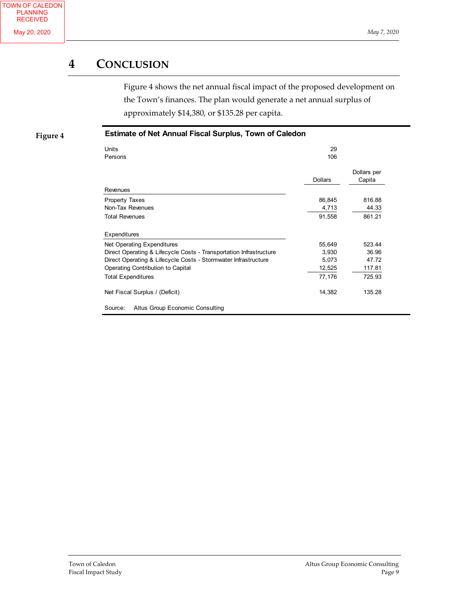### **4 CONCLUSION**

Figure 4 shows the net annual fiscal impact of the proposed development on the Town's finances. The plan would generate a net annual surplus of approximately \$14,380, or \$135.28 per capita.

**Figure 4**

### **Estimate of Net Annual Fiscal Surplus, Town of Caledon**

| Units<br>Persons                                                   | 29<br>106      |                       |
|--------------------------------------------------------------------|----------------|-----------------------|
|                                                                    | <b>Dollars</b> | Dollars per<br>Capita |
| Revenues                                                           |                |                       |
| <b>Property Taxes</b>                                              | 86,845         | 816.88                |
| Non-Tax Revenues                                                   | 4,713          | 44.33                 |
| <b>Total Revenues</b>                                              | 91,558         | 861.21                |
| <b>Expenditures</b>                                                |                |                       |
| Net Operating Expenditures                                         | 55,649         | 523.44                |
| Direct Operating & Lifecycle Costs - Transportation Infrastructure | 3,930          | 36.96                 |
| Direct Operating & Lifecycle Costs - Stormwater Infrastructure     | 5,073          | 47.72                 |
| Operating Contribution to Capital                                  | 12,525         | 117.81                |
| <b>Total Expenditures</b>                                          | 77,176         | 725.93                |
| Net Fiscal Surplus / (Deficit)                                     | 14,382         | 135.28                |
| Altus Group Economic Consulting<br>Source:                         |                |                       |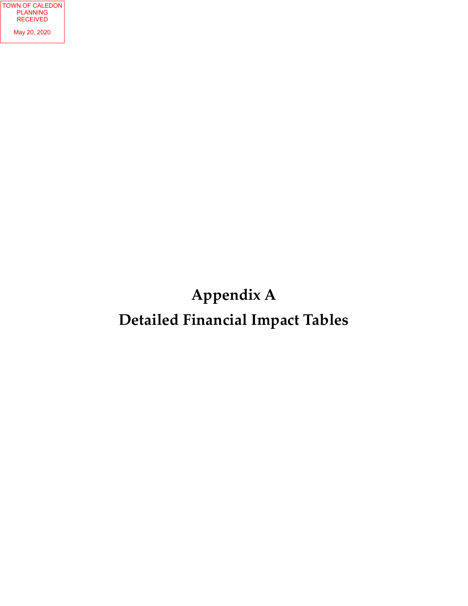# **Appendix A Detailed Financial Impact Tables**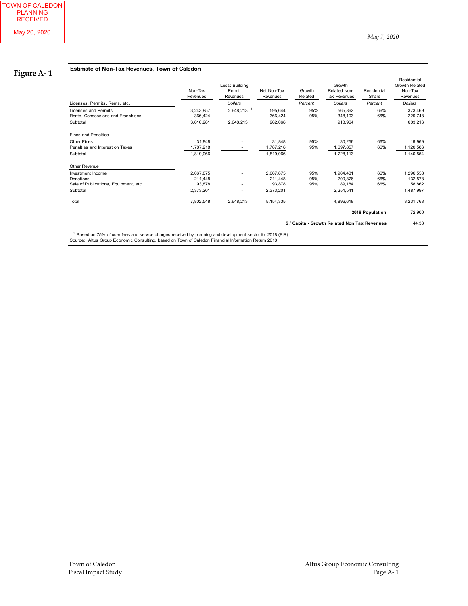### **Figure A‐ 1**

#### **Estimate of Non-Tax Revenues, Town of Caledon**

|                                                                              | Non-Tax<br>Revenues               | Less: Building<br>Permit<br>Revenues | Net Non-Tax<br>Revenues       | Growth<br>Related | Growth<br><b>Related Non-</b><br><b>Tax Revenues</b> | Residential<br>Share | Residential<br><b>Growth Related</b><br>Non-Tax<br>Revenues |
|------------------------------------------------------------------------------|-----------------------------------|--------------------------------------|-------------------------------|-------------------|------------------------------------------------------|----------------------|-------------------------------------------------------------|
| Licenses, Permits, Rents, etc.                                               |                                   | <b>Dollars</b>                       |                               | Percent           | <b>Dollars</b>                                       | Percent              | <b>Dollars</b>                                              |
| <b>Licenses and Permits</b><br>Rents, Concessions and Franchises<br>Subtotal | 3,243,857<br>366,424<br>3,610,281 | 2,648,213 <sup>1</sup><br>2,648,213  | 595,644<br>366,424<br>962,068 | 95%<br>95%        | 565,862<br>348,103<br>913,964                        | 66%<br>66%           | 373,469<br>229,748<br>603,216                               |
| <b>Fines and Penalties</b>                                                   |                                   |                                      |                               |                   |                                                      |                      |                                                             |
| <b>Other Fines</b>                                                           | 31,848                            |                                      | 31,848                        | 95%               | 30,256                                               | 66%                  | 19,969                                                      |
| Penalties and Interest on Taxes                                              | 1,787,218                         |                                      | 1,787,218                     | 95%               | 1,697,857                                            | 66%                  | 1,120,586                                                   |
| Subtotal                                                                     | 1,819,066                         | $\overline{\phantom{a}}$             | 1,819,066                     |                   | 1,728,113                                            |                      | 1,140,554                                                   |
| Other Revenue                                                                |                                   |                                      |                               |                   |                                                      |                      |                                                             |
| Investment Income                                                            | 2,067,875                         |                                      | 2,067,875                     | 95%               | 1,964,481                                            | 66%                  | 1,296,558                                                   |
| Donations                                                                    | 211,448                           |                                      | 211,448                       | 95%               | 200,876                                              | 66%                  | 132,578                                                     |
| Sale of Publications, Equipment, etc.                                        | 93,878                            |                                      | 93,878                        | 95%               | 89,184                                               | 66%                  | 58,862                                                      |
| Subtotal                                                                     | 2,373,201                         |                                      | 2,373,201                     |                   | 2,254,541                                            |                      | 1,487,997                                                   |
| Total                                                                        | 7,802,548                         | 2,648,213                            | 5, 154, 335                   |                   | 4,896,618                                            |                      | 3,231,768                                                   |
|                                                                              |                                   |                                      |                               |                   |                                                      | 2018 Population      | 72,900                                                      |
|                                                                              |                                   |                                      |                               |                   | \$ / Capita - Growth Related Non Tax Revenues        |                      | 44.33                                                       |

<sup>1</sup> Based on 75% of user fees and service charges received by planning and development sector for 2018 (FIR)<br>Source: Altus Group Economic Consulting, based on Town of Caledon Financial Information Return 2018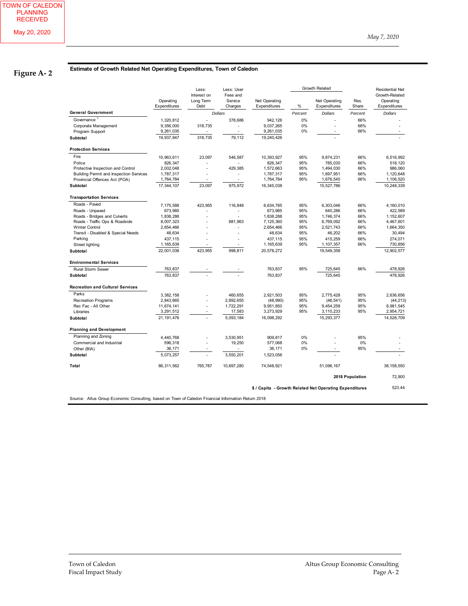### **Figure A‐ 2**

#### **Estimate of Growth Related Net Operating Expenditures, Town of Caledon**

|                                                |                           | Less:                            | Less: User                     |                               | Growth Related |                                                         |                 | <b>Residential Net</b>                      |
|------------------------------------------------|---------------------------|----------------------------------|--------------------------------|-------------------------------|----------------|---------------------------------------------------------|-----------------|---------------------------------------------|
|                                                | Operating<br>Expenditures | Interest on<br>Long Term<br>Debt | Fees and<br>Service<br>Charges | Net Operating<br>Expenditures | %              | Net Operating<br>Expenditures                           | Res.<br>Share   | Growth-Related<br>Operating<br>Expenditures |
| <b>General Government</b>                      |                           |                                  | <b>Dollars</b>                 |                               | Percent        | <b>Dollars</b>                                          | Percent         | <b>Dollars</b>                              |
| Governance <sup>1</sup>                        | 1,320,812                 | $\overline{a}$                   | 378,686                        | 942, 126                      | 0%             |                                                         | 66%             |                                             |
| Corporate Management                           | 9,356,000                 | 318,735                          | $\overline{\phantom{a}}$       | 9,037,265                     | 0%             | $\overline{\phantom{a}}$                                | 66%             |                                             |
| Program Support                                | 9,261,035                 |                                  |                                | 9,261,035                     | 0%             |                                                         | 66%             |                                             |
| <b>Subtotal</b>                                | 19.937.847                | 318,735                          | 79,112                         | 19.240.426                    |                |                                                         |                 |                                             |
| <b>Protection Services</b>                     |                           |                                  |                                |                               |                |                                                         |                 |                                             |
| Fire                                           | 10,963,611                | 23,097                           | 546,587                        | 10,393,927                    | 95%            | 9,874,231                                               | 66%             | 6,516,992                                   |
| Police                                         | 826,347                   |                                  |                                | 826,347                       | 95%            | 785,030                                                 | 66%             | 518,120                                     |
| Protective Inspection and Control              | 2,002,048                 | L,                               | 429,385                        | 1,572,663                     | 95%            | 1,494,030                                               | 66%             | 986,060                                     |
| <b>Building Permit and Inspection Services</b> | 1,787,317                 |                                  | $\overline{\phantom{a}}$       | 1,787,317                     | 95%            | 1,697,951                                               | 66%             | 1,120,648                                   |
| Provincial Offences Act (POA)                  | 1,764,784                 |                                  | $\overline{\phantom{a}}$       | 1,764,784                     | 95%            | 1,676,545                                               | 66%             | 1,106,520                                   |
| Subtotal                                       | 17,344,107                | 23,097                           | 975,972                        | 16,345,038                    |                | 15,527,786                                              |                 | 10,248,339                                  |
| <b>Transportation Services</b>                 |                           |                                  |                                |                               |                |                                                         |                 |                                             |
| Roads - Paved                                  | 7,175,588                 | 423,955                          | 116,848                        | 6,634,785                     | 95%            | 6,303,046                                               | 66%             | 4,160,010                                   |
| Roads - Unpaved                                | 673,985                   |                                  |                                | 673,985                       | 95%            | 640,286                                                 | 66%             | 422,589                                     |
| Roads - Bridges and Culverts                   | 1,838,288                 |                                  |                                | 1,838,288                     | 95%            | 1,746,374                                               | 66%             | 1,152,607                                   |
| Roads - Traffic Ops & Roadside                 | 8,007,323                 |                                  | 881,963                        | 7,125,360                     | 95%            | 6,769,092                                               | 66%             | 4,467,601                                   |
| <b>Winter Control</b>                          | 2,654,466                 |                                  |                                | 2,654,466                     | 95%            | 2,521,743                                               | 66%             | 1,664,350                                   |
| Transit - Disabled & Special Needs             | 48,634                    |                                  |                                | 48,634                        | 95%            | 46,202                                                  | 66%             | 30,494                                      |
| Parking                                        | 437,115                   |                                  |                                | 437,115                       | 95%            | 415,259                                                 | 66%             | 274,071                                     |
| Street lighting                                | 1,165,639                 |                                  |                                | 1,165,639                     | 95%            | 1,107,357                                               | 66%             | 730,856                                     |
| <b>Subtotal</b>                                | 22,001,038                | 423,955                          | 998,811                        | 20,578,272                    |                | 19,549,358                                              |                 | 12,902,577                                  |
| <b>Environmental Services</b>                  |                           |                                  |                                |                               |                |                                                         |                 |                                             |
| Rural Storm Sewer                              | 763,837                   |                                  |                                | 763,837                       | 95%            | 725,645                                                 | 66%             | 478,926                                     |
| <b>Subtotal</b>                                | 763.837                   |                                  |                                | 763,837                       |                | 725.645                                                 |                 | 478,926                                     |
| <b>Recreation and Cultural Services</b>        |                           |                                  |                                |                               |                |                                                         |                 |                                             |
| Parks                                          | 3,382,158                 |                                  | 460,655                        | 2,921,503                     | 95%            | 2,775,428                                               | 95%             | 2,636,656                                   |
| <b>Recreation Programs</b>                     | 2,843,665                 |                                  | 2,892,655                      | (48,990)                      | 95%            | (46, 541)                                               | 95%             | (44, 213)                                   |
| Rec Fac - All Other                            | 11,674,141                | $\overline{a}$                   | 1,722,291                      | 9,951,850                     | 95%            | 9,454,258                                               | 95%             | 8,981,545                                   |
| Libraries                                      | 3,291,512                 |                                  | 17,583                         | 3,273,929                     | 95%            | 3,110,233                                               | 95%             | 2,954,721                                   |
| <b>Subtotal</b>                                | 21, 191, 476              |                                  | 5,093,184                      | 16,098,292                    |                | 15,293,377                                              |                 | 14,528,709                                  |
| <b>Planning and Development</b>                |                           |                                  |                                |                               |                |                                                         |                 |                                             |
| Planning and Zoning                            |                           |                                  |                                |                               |                |                                                         |                 |                                             |
|                                                | 4,440,768                 |                                  | 3,530,951                      | 909,817                       | 0%             |                                                         | 95%             |                                             |
| Commercial and Industrial                      | 596,318                   |                                  | 19,250                         | 577,068                       | 0%             |                                                         | 0%              |                                             |
| Other (BIA)                                    | 36,171                    |                                  |                                | 36,171                        | 0%             |                                                         | 95%             |                                             |
| <b>Subtotal</b>                                | 5,073,257                 |                                  | 3,550,201                      | 1,523,056                     |                |                                                         |                 |                                             |
| Total                                          | 86,311,562                | 765,787                          | 10,697,280                     | 74,548,921                    |                | 51,096,167                                              |                 | 38, 158, 550                                |
|                                                |                           |                                  |                                |                               |                |                                                         | 2018 Population | 72,900                                      |
|                                                |                           |                                  |                                |                               |                | \$ / Capita - Growth Related Net Operating Expenditures |                 | 523.44                                      |